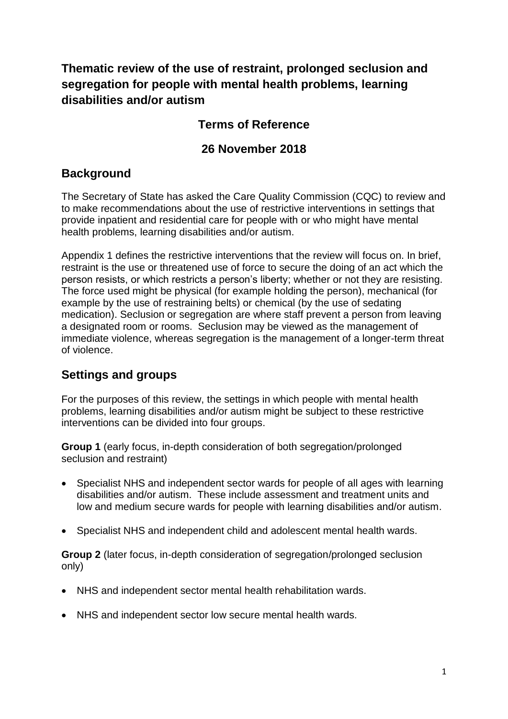**Thematic review of the use of restraint, prolonged seclusion and segregation for people with mental health problems, learning disabilities and/or autism**

# **Terms of Reference**

## **26 November 2018**

## **Background**

The Secretary of State has asked the Care Quality Commission (CQC) to review and to make recommendations about the use of restrictive interventions in settings that provide inpatient and residential care for people with or who might have mental health problems, learning disabilities and/or autism.

Appendix 1 defines the restrictive interventions that the review will focus on. In brief, restraint is the use or threatened use of force to secure the doing of an act which the person resists, or which restricts a person's liberty; whether or not they are resisting. The force used might be physical (for example holding the person), mechanical (for example by the use of restraining belts) or chemical (by the use of sedating medication). Seclusion or segregation are where staff prevent a person from leaving a designated room or rooms. Seclusion may be viewed as the management of immediate violence, whereas segregation is the management of a longer-term threat of violence.

## **Settings and groups**

For the purposes of this review, the settings in which people with mental health problems, learning disabilities and/or autism might be subject to these restrictive interventions can be divided into four groups.

**Group 1** (early focus, in-depth consideration of both segregation/prolonged seclusion and restraint)

- Specialist NHS and independent sector wards for people of all ages with learning disabilities and/or autism. These include assessment and treatment units and low and medium secure wards for people with learning disabilities and/or autism.
- Specialist NHS and independent child and adolescent mental health wards.

**Group 2** (later focus, in-depth consideration of segregation/prolonged seclusion only)

- NHS and independent sector mental health rehabilitation wards.
- NHS and independent sector low secure mental health wards.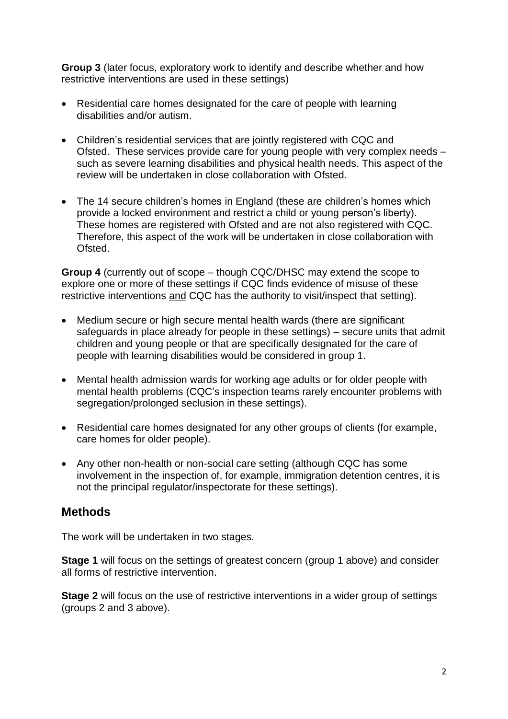**Group 3** (later focus, exploratory work to identify and describe whether and how restrictive interventions are used in these settings)

- Residential care homes designated for the care of people with learning disabilities and/or autism.
- Children's residential services that are jointly registered with CQC and Ofsted. These services provide care for young people with very complex needs – such as severe learning disabilities and physical health needs. This aspect of the review will be undertaken in close collaboration with Ofsted.
- The 14 secure children's homes in England (these are children's homes which provide a locked environment and restrict a child or young person's liberty). These homes are registered with Ofsted and are not also registered with CQC. Therefore, this aspect of the work will be undertaken in close collaboration with Ofsted.

**Group 4** (currently out of scope – though CQC/DHSC may extend the scope to explore one or more of these settings if CQC finds evidence of misuse of these restrictive interventions and CQC has the authority to visit/inspect that setting).

- Medium secure or high secure mental health wards (there are significant safeguards in place already for people in these settings) – secure units that admit children and young people or that are specifically designated for the care of people with learning disabilities would be considered in group 1.
- Mental health admission wards for working age adults or for older people with mental health problems (CQC's inspection teams rarely encounter problems with segregation/prolonged seclusion in these settings).
- Residential care homes designated for any other groups of clients (for example, care homes for older people).
- Any other non-health or non-social care setting (although CQC has some involvement in the inspection of, for example, immigration detention centres, it is not the principal regulator/inspectorate for these settings).

### **Methods**

The work will be undertaken in two stages.

**Stage 1** will focus on the settings of greatest concern (group 1 above) and consider all forms of restrictive intervention.

**Stage 2** will focus on the use of restrictive interventions in a wider group of settings (groups 2 and 3 above).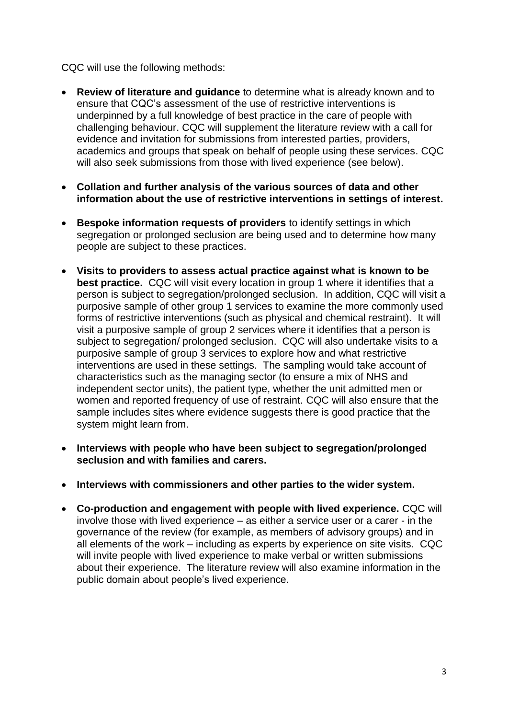CQC will use the following methods:

- **Review of literature and guidance** to determine what is already known and to ensure that CQC's assessment of the use of restrictive interventions is underpinned by a full knowledge of best practice in the care of people with challenging behaviour. CQC will supplement the literature review with a call for evidence and invitation for submissions from interested parties, providers, academics and groups that speak on behalf of people using these services. CQC will also seek submissions from those with lived experience (see below).
- **Collation and further analysis of the various sources of data and other information about the use of restrictive interventions in settings of interest.**
- **Bespoke information requests of providers** to identify settings in which segregation or prolonged seclusion are being used and to determine how many people are subject to these practices.
- **Visits to providers to assess actual practice against what is known to be best practice.** CQC will visit every location in group 1 where it identifies that a person is subject to segregation/prolonged seclusion. In addition, CQC will visit a purposive sample of other group 1 services to examine the more commonly used forms of restrictive interventions (such as physical and chemical restraint). It will visit a purposive sample of group 2 services where it identifies that a person is subject to segregation/ prolonged seclusion. CQC will also undertake visits to a purposive sample of group 3 services to explore how and what restrictive interventions are used in these settings. The sampling would take account of characteristics such as the managing sector (to ensure a mix of NHS and independent sector units), the patient type, whether the unit admitted men or women and reported frequency of use of restraint. CQC will also ensure that the sample includes sites where evidence suggests there is good practice that the system might learn from.
- **Interviews with people who have been subject to segregation/prolonged seclusion and with families and carers.**
- **Interviews with commissioners and other parties to the wider system.**
- **Co-production and engagement with people with lived experience.** CQC will involve those with lived experience – as either a service user or a carer - in the governance of the review (for example, as members of advisory groups) and in all elements of the work – including as experts by experience on site visits. CQC will invite people with lived experience to make verbal or written submissions about their experience. The literature review will also examine information in the public domain about people's lived experience.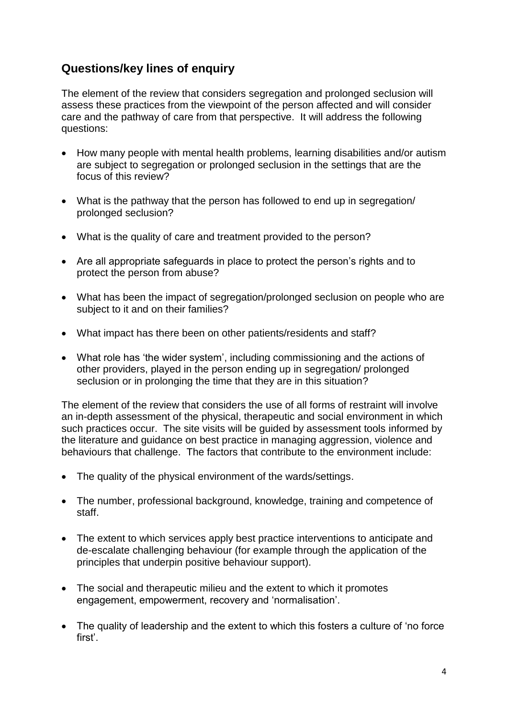# **Questions/key lines of enquiry**

The element of the review that considers segregation and prolonged seclusion will assess these practices from the viewpoint of the person affected and will consider care and the pathway of care from that perspective. It will address the following questions:

- How many people with mental health problems, learning disabilities and/or autism are subject to segregation or prolonged seclusion in the settings that are the focus of this review?
- What is the pathway that the person has followed to end up in segregation/ prolonged seclusion?
- What is the quality of care and treatment provided to the person?
- Are all appropriate safeguards in place to protect the person's rights and to protect the person from abuse?
- What has been the impact of segregation/prolonged seclusion on people who are subject to it and on their families?
- What impact has there been on other patients/residents and staff?
- What role has 'the wider system', including commissioning and the actions of other providers, played in the person ending up in segregation/ prolonged seclusion or in prolonging the time that they are in this situation?

The element of the review that considers the use of all forms of restraint will involve an in-depth assessment of the physical, therapeutic and social environment in which such practices occur. The site visits will be guided by assessment tools informed by the literature and guidance on best practice in managing aggression, violence and behaviours that challenge. The factors that contribute to the environment include:

- The quality of the physical environment of the wards/settings.
- The number, professional background, knowledge, training and competence of staff.
- The extent to which services apply best practice interventions to anticipate and de-escalate challenging behaviour (for example through the application of the principles that underpin positive behaviour support).
- The social and therapeutic milieu and the extent to which it promotes engagement, empowerment, recovery and 'normalisation'.
- The quality of leadership and the extent to which this fosters a culture of 'no force first'.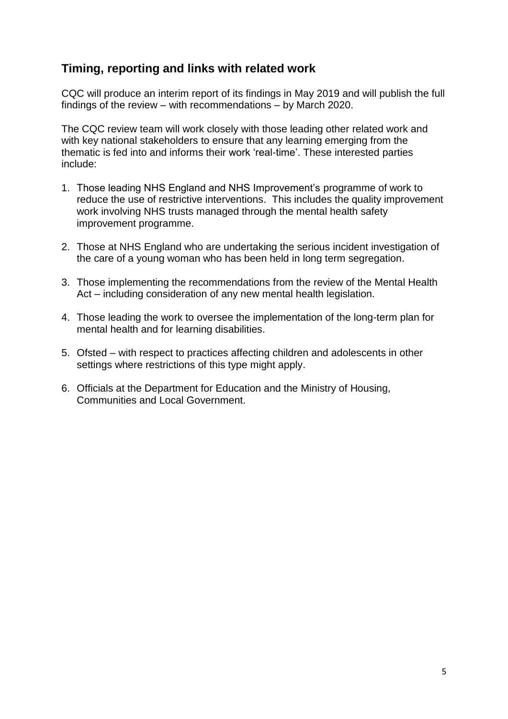## **Timing, reporting and links with related work**

CQC will produce an interim report of its findings in May 2019 and will publish the full findings of the review – with recommendations – by March 2020.

The CQC review team will work closely with those leading other related work and with key national stakeholders to ensure that any learning emerging from the thematic is fed into and informs their work 'real-time'. These interested parties include:

- 1. Those leading NHS England and NHS Improvement's programme of work to reduce the use of restrictive interventions. This includes the quality improvement work involving NHS trusts managed through the mental health safety improvement programme.
- 2. Those at NHS England who are undertaking the serious incident investigation of the care of a young woman who has been held in long term segregation.
- 3. Those implementing the recommendations from the review of the Mental Health Act – including consideration of any new mental health legislation.
- 4. Those leading the work to oversee the implementation of the long-term plan for mental health and for learning disabilities.
- 5. Ofsted with respect to practices affecting children and adolescents in other settings where restrictions of this type might apply.
- 6. Officials at the Department for Education and the Ministry of Housing, Communities and Local Government.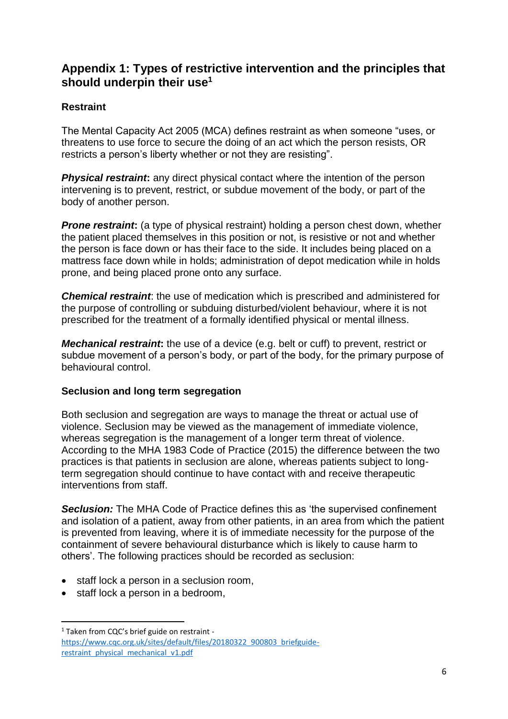## **Appendix 1: Types of restrictive intervention and the principles that should underpin their use<sup>1</sup>**

#### **Restraint**

The Mental Capacity Act 2005 (MCA) defines restraint as when someone "uses, or threatens to use force to secure the doing of an act which the person resists, OR restricts a person's liberty whether or not they are resisting".

**Physical restraint:** any direct physical contact where the intention of the person intervening is to prevent, restrict, or subdue movement of the body, or part of the body of another person.

*Prone restraint*: (a type of physical restraint) holding a person chest down, whether the patient placed themselves in this position or not, is resistive or not and whether the person is face down or has their face to the side. It includes being placed on a mattress face down while in holds; administration of depot medication while in holds prone, and being placed prone onto any surface.

*Chemical restraint*: the use of medication which is prescribed and administered for the purpose of controlling or subduing disturbed/violent behaviour, where it is not prescribed for the treatment of a formally identified physical or mental illness.

*Mechanical restraint***:** the use of a device (e.g. belt or cuff) to prevent, restrict or subdue movement of a person's body, or part of the body, for the primary purpose of behavioural control.

#### **Seclusion and long term segregation**

Both seclusion and segregation are ways to manage the threat or actual use of violence. Seclusion may be viewed as the management of immediate violence, whereas segregation is the management of a longer term threat of violence. According to the MHA 1983 Code of Practice (2015) the difference between the two practices is that patients in seclusion are alone, whereas patients subject to longterm segregation should continue to have contact with and receive therapeutic interventions from staff.

*Seclusion:* The MHA Code of Practice defines this as 'the supervised confinement and isolation of a patient, away from other patients, in an area from which the patient is prevented from leaving, where it is of immediate necessity for the purpose of the containment of severe behavioural disturbance which is likely to cause harm to others'. The following practices should be recorded as seclusion:

- staff lock a person in a seclusion room,
- staff lock a person in a bedroom,

**.** 

<sup>&</sup>lt;sup>1</sup> Taken from CQC's brief guide on restraint [https://www.cqc.org.uk/sites/default/files/20180322\\_900803\\_briefguide](https://www.cqc.org.uk/sites/default/files/20180322_900803_briefguide-restraint_physical_mechanical_v1.pdf)[restraint\\_physical\\_mechanical\\_v1.pdf](https://www.cqc.org.uk/sites/default/files/20180322_900803_briefguide-restraint_physical_mechanical_v1.pdf)